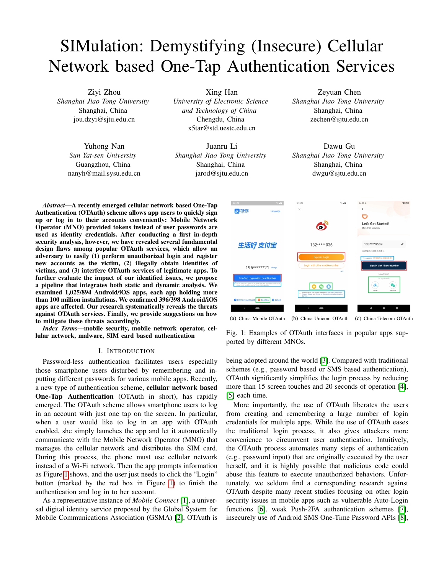# SIMulation: Demystifying (Insecure) Cellular Network based One-Tap Authentication Services

Ziyi Zhou *Shanghai Jiao Tong University* Shanghai, China jou.dzyi@sjtu.edu.cn

> Yuhong Nan *Sun Yat-sen University* Guangzhou, China nanyh@mail.sysu.edu.cn

Xing Han *University of Electronic Science and Technology of China* Chengdu, China x5tar@std.uestc.edu.cn

Juanru Li *Shanghai Jiao Tong University* Shanghai, China jarod@sjtu.edu.cn

Zeyuan Chen *Shanghai Jiao Tong University* Shanghai, China zechen@sjtu.edu.cn

Dawu Gu *Shanghai Jiao Tong University* Shanghai, China dwgu@sjtu.edu.cn

*Abstract*—A recently emerged cellular network based One-Tap Authentication (OTAuth) scheme allows app users to quickly sign up or log in to their accounts conveniently: Mobile Network Operator (MNO) provided tokens instead of user passwords are used as identity credentials. After conducting a first in-depth security analysis, however, we have revealed several fundamental design flaws among popular OTAuth services, which allow an adversary to easily (1) perform unauthorized login and register new accounts as the victim, (2) illegally obtain identities of victims, and (3) interfere OTAuth services of legitimate apps. To further evaluate the impact of our identified issues, we propose a pipeline that integrates both static and dynamic analysis. We examined 1,025/894 Android/iOS apps, each app holding more than 100 million installations. We confirmed 396/398 Android/iOS apps are affected. Our research systematically reveals the threats against OTAuth services. Finally, we provide suggestions on how to mitigate these threats accordingly.

*Index Terms*—mobile security, mobile network operator, cellular network, malware, SIM card based authentication

#### I. INTRODUCTION

Password-less authentication facilitates users especially those smartphone users disturbed by remembering and inputting different passwords for various mobile apps. Recently, a new type of authentication scheme, cellular network based One-Tap Authentication (OTAuth in short), has rapidly emerged. The OTAuth scheme allows smartphone users to log in an account with just one tap on the screen. In particular, when a user would like to log in an app with OTAuth enabled, she simply launches the app and let it automatically communicate with the Mobile Network Operator (MNO) that manages the cellular network and distributes the SIM card. During this process, the phone must use cellular network instead of a Wi-Fi network. Then the app prompts information as Figure [1](#page-0-0) shows, and the user just needs to click the "Login" button (marked by the red box in Figure [1\)](#page-0-0) to finish the authentication and log in to her account.

As a representative instance of *Mobile Connect* [\[1\]](#page-11-0), a universal digital identity service proposed by the Global System for Mobile Communications Association (GSMA) [\[2\]](#page-11-1), OTAuth is

<span id="page-0-0"></span>

(a) China Mobile OTAuth (b) China Unicom OTAuth (c) China Telecom OTAuth

Fig. 1: Examples of OTAuth interfaces in popular apps supported by different MNOs.

being adopted around the world [\[3\]](#page-11-2). Compared with traditional schemes (e.g., password based or SMS based authentication), OTAuth significantly simplifies the login process by reducing more than 15 screen touches and 20 seconds of operation [\[4\]](#page-11-3), [\[5\]](#page-11-4) each time.

More importantly, the use of OTAuth liberates the users from creating and remembering a large number of login credentials for multiple apps. While the use of OTAuth eases the traditional login process, it also gives attackers more convenience to circumvent user authentication. Intuitively, the OTAuth process automates many steps of authentication (e.g., password input) that are originally executed by the user herself, and it is highly possible that malicious code could abuse this feature to execute unauthorized behaviors. Unfortunately, we seldom find a corresponding research against OTAuth despite many recent studies focusing on other login security issues in mobile apps such as vulnerable Auto-Login functions [\[6\]](#page-11-5), weak Push-2FA authentication schemes [\[7\]](#page-11-6), insecurely use of Android SMS One-Time Password APIs [\[8\]](#page-11-7),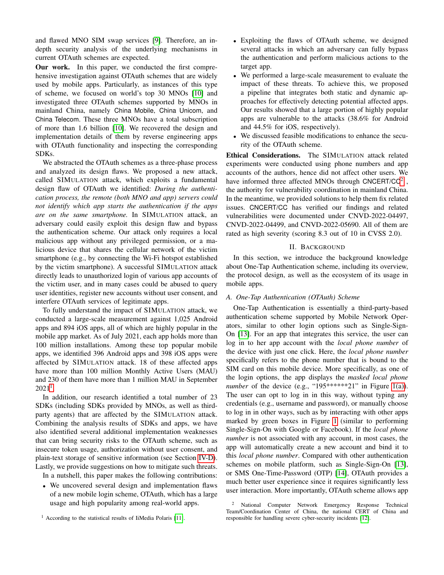and flawed MNO SIM swap services [\[9\]](#page-11-8). Therefore, an indepth security analysis of the underlying mechanisms in current OTAuth schemes are expected.

Our work. In this paper, we conducted the first comprehensive investigation against OTAuth schemes that are widely used by mobile apps. Particularly, as instances of this type of scheme, we focused on world's top 30 MNOs [\[10\]](#page-11-9) and investigated three OTAuth schemes supported by MNOs in mainland China, namely China Mobile, China Unicom, and China Telecom. These three MNOs have a total subscription of more than 1.6 billion [\[10\]](#page-11-9). We recovered the design and implementation details of them by reverse engineering apps with OTAuth functionality and inspecting the corresponding SDKs.

We abstracted the OTAuth schemes as a three-phase process and analyzed its design flaws. We proposed a new attack, called SIMULATION attack, which exploits a fundamental design flaw of OTAuth we identified: *During the authentication process, the remote (both MNO and app) servers could not identify which app starts the authentication if the apps are on the same smartphone.* In SIMULATION attack, an adversary could easily exploit this design flaw and bypass the authentication scheme. Our attack only requires a local malicious app without any privileged permission, or a malicious device that shares the cellular network of the victim smartphone (e.g., by connecting the Wi-Fi hotspot established by the victim smartphone). A successful SIMULATION attack directly leads to unauthorized login of various app accounts of the victim user, and in many cases could be abused to query user identities, register new accounts without user consent, and interfere OTAuth services of legitimate apps.

To fully understand the impact of SIMULATION attack, we conducted a large-scale measurement against 1,025 Android apps and 894 iOS apps, all of which are highly popular in the mobile app market. As of July 2021, each app holds more than 100 million installations. Among these top popular mobile apps, we identified 396 Android apps and 398 iOS apps were affected by SIMULATION attack. 18 of these affected apps have more than 100 million Monthly Active Users (MAU) and 230 of them have more than 1 million MAU in September  $2021^1$  $2021^1$  $2021^1$ .

In addition, our research identified a total number of 23 SDKs (including SDKs provided by MNOs, as well as thirdparty agents) that are affected by the SIMULATION attack. Combining the analysis results of SDKs and apps, we have also identified several additional implementation weaknesses that can bring security risks to the OTAuth scheme, such as insecure token usage, authorization without user consent, and plain-text storage of sensitive information (see Section [IV-D\)](#page-9-0). Lastly, we provide suggestions on how to mitigate such threats.

In a nutshell, this paper makes the following contributions:

• We uncovered several design and implementation flaws of a new mobile login scheme, OTAuth, which has a large usage and high popularity among real-world apps.

- Exploiting the flaws of OTAuth scheme, we designed several attacks in which an adversary can fully bypass the authentication and perform malicious actions to the target app.
- We performed a large-scale measurement to evaluate the impact of these threats. To achieve this, we proposed a pipeline that integrates both static and dynamic approaches for effectively detecting potential affected apps. Our results showed that a large portion of highly popular apps are vulnerable to the attacks (38.6% for Android and 44.5% for iOS, respectively).
- We discussed feasible modifications to enhance the security of the OTAuth scheme.

Ethical Considerations. The SIMULATION attack related experiments were conducted using phone numbers and app accounts of the authors, hence did not affect other users. We have informed three affected MNOs through CNCERT/CC<sup>[2](#page-1-1)</sup>, the authority for vulnerability coordination in mainland China. In the meantime, we provided solutions to help them fix related issues. CNCERT/CC has verified our findings and related vulnerabilities were documented under CNVD-2022-04497, CNVD-2022-04499, and CNVD-2022-05690. All of them are rated as high severity (scoring 8.3 out of 10 in CVSS 2.0).

# II. BACKGROUND

In this section, we introduce the background knowledge about One-Tap Authentication scheme, including its overview, the protocol design, as well as the ecosystem of its usage in mobile apps.

# *A. One-Tap Authentication (OTAuth) Scheme*

One-Tap Authentication is essentially a third-party-based authentication scheme supported by Mobile Network Operators, similar to other login options such as Single-Sign-On [\[13\]](#page-11-11). For an app that integrates this service, the user can log in to her app account with the *local phone number* of the device with just one click. Here, the *local phone number* specifically refers to the phone number that is bound to the SIM card on this mobile device. More specifically, as one of the login options, the app displays the *masked local phone number* of the device (e.g., "195\*\*\*\*\*\*21" in Figure [1\(a\)\)](#page-0-0). The user can opt to log in in this way, without typing any credentials (e.g., username and password), or manually choose to log in in other ways, such as by interacting with other apps marked by green boxes in Figure [1](#page-0-0) (similar to performing Single-Sign-On with Google or Facebook). If the *local phone number* is not associated with any account, in most cases, the app will automatically create a new account and bind it to this *local phone number*. Compared with other authentication schemes on mobile platform, such as Single-Sign-On [\[13\]](#page-11-11), or SMS One-Time-Password (OTP) [\[14\]](#page-11-12), OTAuth provides a much better user experience since it requires significantly less user interaction. More importantly, OTAuth scheme allows app

<span id="page-1-0"></span> $<sup>1</sup>$  According to the statistical results of IiMedia Polaris [\[11\]](#page-11-10).</sup>

<span id="page-1-1"></span><sup>2</sup> National Computer Network Emergency Response Technical Team/Coordination Center of China, the national CERT of China and responsible for handling severe cyber-security incidents [\[12\]](#page-11-13).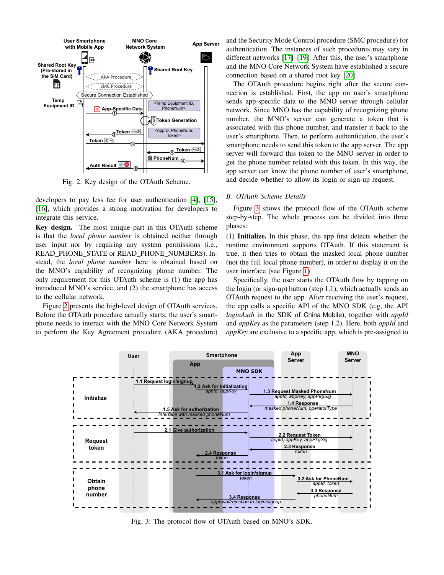<span id="page-2-0"></span>

Fig. 2: Key design of the OTAuth Scheme.

developers to pay less fee for user authentication [\[4\]](#page-11-3), [\[15\]](#page-11-14), [\[16\]](#page-11-15), which provides a strong motivation for developers to integrate this service.

Key design. The most unique part in this OTAuth scheme is that the *local phone number* is obtained neither through user input nor by requiring any system permissions (i.e., READ PHONE STATE or READ PHONE NUMBERS). Instead, the *local phone number* here is obtained based on the MNO's capability of recognizing phone number. The only requirement for this OTAuth scheme is (1) the app has introduced MNO's service, and (2) the smartphone has access to the cellular network.

Figure [2](#page-2-0) presents the high-level design of OTAuth services. Before the OTAuth procedure actually starts, the user's smartphone needs to interact with the MNO Core Network System to perform the Key Agreement procedure (AKA procedure) and the Security Mode Control procedure (SMC procedure) for authentication. The instances of such procedures may vary in different networks [\[17\]](#page-11-16)–[\[19\]](#page-11-17). After this, the user's smartphone and the MNO Core Network System have established a secure connection based on a shared root key [\[20\]](#page-11-18).

The OTAuth procedure begins right after the secure connection is established. First, the app on user's smartphone sends app-specific data to the MNO server through cellular network. Since MNO has the capability of recognizing phone number, the MNO's server can generate a token that is associated with this phone number, and transfer it back to the user's smartphone. Then, to perform authentication, the user's smartphone needs to send this token to the app server. The app server will forward this token to the MNO server in order to get the phone number related with this token. In this way, the app server can know the phone number of user's smartphone, and decide whether to allow its login or sign-up request.

## <span id="page-2-2"></span>*B. OTAuth Scheme Details*

Figure [3](#page-2-1) shows the protocol flow of the OTAuth scheme step-by-step. The whole process can be divided into three phases:

(1) Initialize. In this phase, the app first detects whether the runtime environment supports OTAuth. If this statement is true, it then tries to obtain the masked local phone number (not the full local phone number), in order to display it on the user interface (see Figure [1\)](#page-0-0).

Specifically, the user starts the OTAuth flow by tapping on the login (or sign-up) button (step 1.1), which actually sends an OTAuth request to the app. After receiving the user's request, the app calls a specific API of the MNO SDK (e.g, the API *loginAuth* in the SDK of China Mobile), together with *appId* and *appKey* as the parameters (step 1.2). Here, both *appId* and *appKey* are exclusive to a specific app, which is pre-assigned to

<span id="page-2-1"></span>

Fig. 3: The protocol flow of OTAuth based on MNO's SDK.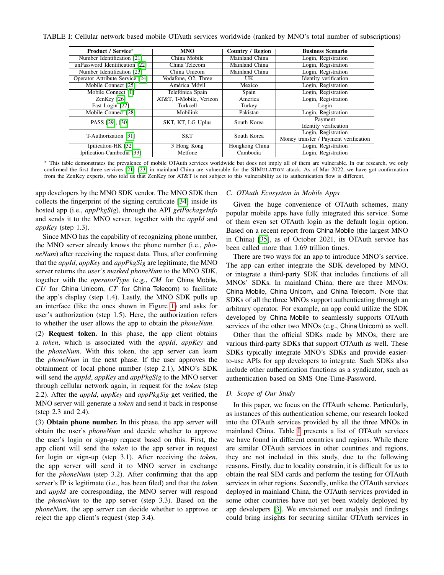<span id="page-3-0"></span>TABLE I: Cellular network based mobile OTAuth services worldwide (ranked by MNO's total number of subscriptions)

| <b>Product / Service*</b>       | <b>MNO</b>              | <b>Country / Region</b> | <b>Business Scenario</b>                                     |
|---------------------------------|-------------------------|-------------------------|--------------------------------------------------------------|
| Number Identification [21]      | China Mobile            | Mainland China          | Login, Registration                                          |
| unPassword Identification [22]  | China Telecom           | Mainland China          | Login, Registration                                          |
| Number Identification [23]      | China Unicom            | Mainland China          | $\overline{\text{Log}}$ in, Registration                     |
| Operator Attribute Service [24] | Vodafone, O2, Three     | UK                      | Identity verification                                        |
| Mobile Connect [25]             | América Móvil           | Mexico                  | Login, Registration                                          |
| Mobile Connect [1]              | Telefónica Spain        | Spain                   | Login, Registration                                          |
| ZenKey $[26]$                   | AT&T, T-Mobile, Verizon | America                 | Login, Registration                                          |
| Fast Login [27]                 | <b>Turkcell</b>         | Turkey                  | Login                                                        |
| Mobile Connect [28]             | Mobilink                | Pakistan                | Login, Registration                                          |
| PASS [29], [30]                 | SKT, KT, LG Uplus       | South Korea             | Payment<br>Identity verification                             |
| T-Authorization [31]            | <b>SKT</b>              | South Korea             | Login, Registration<br>Money transfer / Payment verification |
| Ipification-HK [32]             | 3 Hong Kong             | Hongkong China          | Login, Registration                                          |
| Ipification-Cambodia [33]       | Metfone                 | Cambodia                | Login, Registration                                          |

<sup>∗</sup> This table demonstrates the prevalence of mobile OTAuth services worldwide but does not imply all of them are vulnerable. In our research, we only confirmed the first three services [\[21\]](#page-11-19)–[\[23\]](#page-11-21) in mainland China are vulnerable for the SIMULATION attack. As of Mar 2022, we have got confirmation from the ZenKey experts, who told us that ZenKey for AT&T is not subject to this vulnerability as its authentication flow is different.

app developers by the MNO SDK vendor. The MNO SDK then collects the fingerprint of the signing certificate [\[34\]](#page-11-32) inside its hosted app (i.e., *appPkgSig*), through the API *getPackageInfo* and sends it to the MNO server, together with the *appId* and *appKey* (step 1.3).

Since MNO has the capability of recognizing phone number, the MNO server already knows the phone number (i.e., *phoneNum*) after receiving the request data. Thus, after confirming that the *appId*, *appKey* and *appPkgSig* are legitimate, the MNO server returns the *user's masked phoneNum* to the MNO SDK, together with the *operatorType* (e.g., *CM* for China Mobile, *CU* for China Unicom, *CT* for China Telecom) to facilitate the app's display (step 1.4). Lastly, the MNO SDK pulls up an interface (like the ones shown in Figure [1\)](#page-0-0) and asks for user's authorization (step 1.5). Here, the authorization refers to whether the user allows the app to obtain the *phoneNum*.

(2) Request token. In this phase, the app client obtains a *token*, which is associated with the *appId*, *appKey* and the *phoneNum*. With this token, the app server can learn the *phoneNum* in the next phase. If the user approves the obtainment of local phone number (step 2.1), MNO's SDK will send the *appId*, *appKey* and *appPkgSig* to the MNO server through cellular network again, in request for the *token* (step 2.2). After the *appId*, *appKey* and *appPkgSig* get verified, the MNO server will generate a *token* and send it back in response (step 2.3 and 2.4).

(3) Obtain phone number. In this phase, the app server will obtain the user's *phoneNum* and decide whether to approve the user's login or sign-up request based on this. First, the app client will send the *token* to the app server in request for login or sign-up (step 3.1). After receiving the *token*, the app server will send it to MNO server in exchange for the *phoneNum* (step 3.2). After confirming that the app server's IP is legitimate (i.e., has been filed) and that the *token* and *appId* are corresponding, the MNO server will respond the *phoneNum* to the app server (step 3.3). Based on the *phoneNum*, the app server can decide whether to approve or reject the app client's request (step 3.4).

#### *C. OTAuth Ecosystem in Mobile Apps*

Given the huge convenience of OTAuth schemes, many popular mobile apps have fully integrated this service. Some of them even set OTAuth login as the default login option. Based on a recent report from China Mobile (the largest MNO in China) [\[35\]](#page-11-33), as of October 2021, its OTAuth service has been called more than 1.69 trillion times.

There are two ways for an app to introduce MNO's service. The app can either integrate the SDK developed by MNO, or integrate a third-party SDK that includes functions of all MNOs' SDKs. In mainland China, there are three MNOs: China Mobile, China Unicom, and China Telecom. Note that SDKs of all the three MNOs support authenticating through an arbitrary operator. For example, an app could utilize the SDK developed by China Mobile to seamlessly supports OTAuth services of the other two MNOs (e.g., China Unicom) as well.

Other than the official SDKs made by MNOs, there are various third-party SDKs that support OTAuth as well. These SDKs typically integrate MNO's SDKs and provide easierto-use APIs for app developers to integrate. Such SDKs also include other authentication functions as a syndicator, such as authentication based on SMS One-Time-Password.

#### *D. Scope of Our Study*

In this paper, we focus on the OTAuth scheme. Particularly, as instances of this authentication scheme, our research looked into the OTAuth services provided by all the three MNOs in mainland China. Table [I](#page-3-0) presents a list of OTAuth services we have found in different countries and regions. While there are similar OTAuth services in other countries and regions, they are not included in this study, due to the following reasons. Firstly, due to locality constrain, it is difficult for us to obtain the real SIM cards and perform the testing for OTAuth services in other regions. Secondly, unlike the OTAuth services deployed in mainland China, the OTAuth services provided in some other countries have not yet been widely deployed by app developers [\[3\]](#page-11-2). We envisioned our analysis and findings could bring insights for securing similar OTAuth services in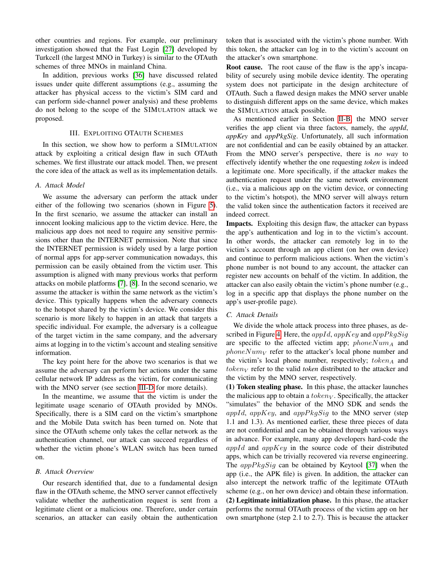other countries and regions. For example, our preliminary investigation showed that the Fast Login [\[27\]](#page-11-25) developed by Turkcell (the largest MNO in Turkey) is similar to the OTAuth schemes of three MNOs in mainland China.

In addition, previous works [\[36\]](#page-11-34) have discussed related issues under quite different assumptions (e.g., assuming the attacker has physical access to the victim's SIM card and can perform side-channel power analysis) and these problems do not belong to the scope of the SIMULATION attack we proposed.

## III. EXPLOITING OTAUTH SCHEMES

<span id="page-4-0"></span>In this section, we show how to perform a SIMULATION attack by exploiting a critical design flaw in such OTAuth schemes. We first illustrate our attack model. Then, we present the core idea of the attack as well as its implementation details.

#### *A. Attack Model*

We assume the adversary can perform the attack under either of the following two scenarios (shown in Figure [5\)](#page-5-0). In the first scenario, we assume the attacker can install an innocent looking malicious app to the victim device. Here, the malicious app does not need to require any sensitive permissions other than the INTERNET permission. Note that since the INTERNET permission is widely used by a large portion of normal apps for app-server communication nowadays, this permission can be easily obtained from the victim user. This assumption is aligned with many previous works that perform attacks on mobile platforms [\[7\]](#page-11-6), [\[8\]](#page-11-7). In the second scenario, we assume the attacker is within the same network as the victim's device. This typically happens when the adversary connects to the hotspot shared by the victim's device. We consider this scenario is more likely to happen in an attack that targets a specific individual. For example, the adversary is a colleague of the target victim in the same company, and the adversary aims at logging in to the victim's account and stealing sensitive information.

The key point here for the above two scenarios is that we assume the adversary can perform her actions under the same cellular network IP address as the victim, for communicating with the MNO server (see section [III-D](#page-5-1) for more details).

In the meantime, we assume that the victim is under the legitimate usage scenario of OTAuth provided by MNOs. Specifically, there is a SIM card on the victim's smartphone and the Mobile Data switch has been turned on. Note that since the OTAuth scheme only takes the cellar network as the authentication channel, our attack can succeed regardless of whether the victim phone's WLAN switch has been turned on.

# *B. Attack Overview*

Our research identified that, due to a fundamental design flaw in the OTAuth scheme, the MNO server cannot effectively validate whether the authentication request is sent from a legitimate client or a malicious one. Therefore, under certain scenarios, an attacker can easily obtain the authentication token that is associated with the victim's phone number. With this token, the attacker can log in to the victim's account on the attacker's own smartphone.

Root cause. The root cause of the flaw is the app's incapability of securely using mobile device identity. The operating system does not participate in the design architecture of OTAuth. Such a flawed design makes the MNO server unable to distinguish different apps on the same device, which makes the SIMULATION attack possible.

As mentioned earlier in Section [II-B,](#page-2-2) the MNO server verifies the app client via three factors, namely, the *appId*, *appKey* and *appPkgSig*. Unfortunately, all such information are not confidential and can be easily obtained by an attacker. From the MNO server's perspective, there is *no way* to effectively identify whether the one requesting *token* is indeed a legitimate one. More specifically, if the attacker makes the authentication request under the same network environment (i.e., via a malicious app on the victim device, or connecting to the victim's hotspot), the MNO server will always return the valid token since the authentication factors it received are indeed correct.

Impacts. Exploiting this design flaw, the attacker can bypass the app's authentication and log in to the victim's account. In other words, the attacker can remotely log in to the victim's account through an app client (on her own device) and continue to perform malicious actions. When the victim's phone number is not bound to any account, the attacker can register new accounts on behalf of the victim. In addition, the attacker can also easily obtain the victim's phone number (e.g., log in a specific app that displays the phone number on the app's user-profile page).

#### *C. Attack Details*

We divide the whole attack process into three phases, as de-scribed in Figure [4.](#page-5-2) Here, the  $appId$ ,  $appKey$  and  $appPkgSig$ are specific to the affected victim app;  $phoneNum_A$  and  $phoneNum<sub>V</sub>$  refer to the attacker's local phone number and the victim's local phone number, respectively;  $token_A$  and  $token_V$  refer to the valid *token* distributed to the attacker and the victim by the MNO server, respectively.

(1) Token stealing phase. In this phase, the attacker launches the malicious app to obtain a  $token_V$ . Specifically, the attacker "simulates" the behavior of the MNO SDK and sends the appId, appKey, and appPkg $Sig$  to the MNO server (step 1.1 and 1.3). As mentioned earlier, these three pieces of data are not confidential and can be obtained through various ways in advance. For example, many app developers hard-code the  $appId$  and  $appKey$  in the source code of their distributed apps, which can be trivially recovered via reverse engineering. The  $appPkgSig$  can be obtained by Keytool [\[37\]](#page-11-35) when the app (i.e., the APK file) is given. In addition, the attacker can also intercept the network traffic of the legitimate OTAuth scheme (e.g., on her own device) and obtain these information. (2) Legitimate initialization phase. In this phase, the attacker performs the normal OTAuth process of the victim app on her own smartphone (step 2.1 to 2.7). This is because the attacker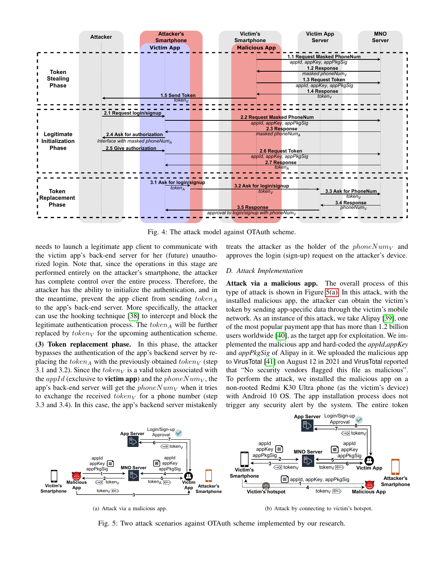<span id="page-5-2"></span>

Fig. 4: The attack model against OTAuth scheme.

needs to launch a legitimate app client to communicate with the victim app's back-end server for her (future) unauthorized login. Note that, since the operations in this stage are performed entirely on the attacker's smartphone, the attacker has complete control over the entire process. Therefore, the attacker has the ability to initialize the authentication, and in the meantime, prevent the app client from sending  $token_A$ to the app's back-end server. More specifically, the attacker can use the hooking technique [\[38\]](#page-11-36) to intercept and block the legitimate authentication process. The  $token_A$  will be further replaced by  $token_V$  for the upcoming authentication scheme. (3) Token replacement phase. In this phase, the attacker bypasses the authentication of the app's backend server by replacing the token<sub>A</sub> with the previously obtained token<sub>V</sub> (step 3.1 and 3.2). Since the  $token_V$  is a valid token associated with the *appId* (exclusive to **victim app**) and the *phoneNum<sub>V</sub>*, the

app's back-end server will get the  $phoneNum_V$  when it tries to exchange the received  $token_V$  for a phone number (step 3.3 and 3.4). In this case, the app's backend server mistakenly treats the attacker as the holder of the  $phoneNum_V$  and approves the login (sign-up) request on the attacker's device.

#### <span id="page-5-1"></span>*D. Attack Implementation*

Attack via a malicious app. The overall process of this type of attack is shown in Figure [5\(a\).](#page-5-3) In this attack, with the installed malicious app, the attacker can obtain the victim's token by sending app-specific data through the victim's mobile network. As an instance of this attack, we take Alipay [\[39\]](#page-11-37), one of the most popular payment app that has more than 1.2 billion users worldwide [\[40\]](#page-11-38), as the target app for exploitation. We implemented the malicious app and hard-coded the *appId*,*appKey* and *appPkgSig* of Alipay in it. We uploaded the malicious app to VirusTotal [\[41\]](#page-11-39) on August 12 in 2021 and VirusTotal reported that "No security vendors flagged this file as malicious". To perform the attack, we installed the malicious app on a non-rooted Redmi K30 Ultra phone (as the victim's device) with Android 10 OS. The app installation process does not trigger any security alert by the system. The entire token

<span id="page-5-3"></span><span id="page-5-0"></span>

(a) Attack via a malicious app.

<span id="page-5-4"></span>(b) Attack by connecting to victim's hotspot.

Fig. 5: Two attack scenarios against OTAuth scheme implemented by our research.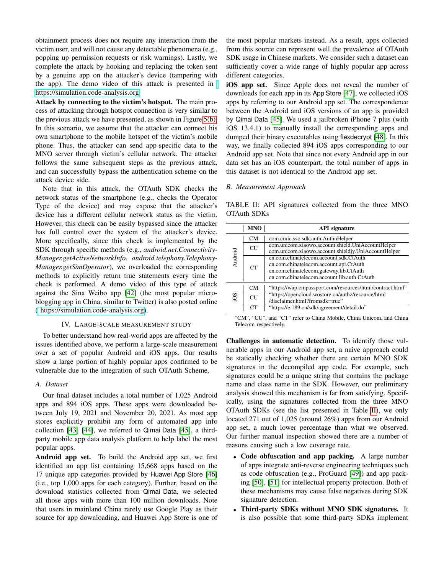obtainment process does not require any interaction from the victim user, and will not cause any detectable phenomena (e.g., popping up permission requests or risk warnings). Lastly, we complete the attack by hooking and replacing the token sent by a genuine app on the attacker's device (tampering with the app). The demo video of this attack is presented in [https://simulation.code-analysis.org.](https://simulation.code-analysis.org)

Attack by connecting to the victim's hotspot. The main process of attacking through hotspot connection is very similar to the previous attack we have presented, as shown in Figure [5\(b\).](#page-5-4) In this scenario, we assume that the attacker can connect his own smartphone to the mobile hotspot of the victim's mobile phone. Thus, the attacker can send app-specific data to the MNO server through victim's cellular network. The attacker follows the same subsequent steps as the previous attack, and can successfully bypass the authentication scheme on the attack device side.

Note that in this attack, the OTAuth SDK checks the network status of the smartphone (e.g., checks the Operator Type of the device) and may expose that the attacker's device has a different cellular network status as the victim. However, this check can be easily bypassed since the attacker has full control over the system of the attacker's device. More specifically, since this check is implemented by the SDK through specific methods (e.g., *android.net.Connectivity-Manager.getActiveNetworkInfo*, *android.telephony.Telephony-Manager.getSimOperator*), we overloaded the corresponding methods to explicitly return true statements every time the check is performed. A demo video of this type of attack against the Sina Weibo app [\[42\]](#page-11-40) (the most popular microblogging app in China, similar to Twitter) is also posted online ( [https://simulation.code-analysis.org\)](https://simulation.code-analysis.org).

#### IV. LARGE-SCALE MEASUREMENT STUDY

To better understand how real-world apps are affected by the issues identified above, we perform a large-scale measurement over a set of popular Android and iOS apps. Our results show a large portion of highly popular apps confirmed to be vulnerable due to the integration of such OTAuth Scheme.

#### *A. Dataset*

Our final dataset includes a total number of 1,025 Android apps and 894 iOS apps. These apps were downloaded between July 19, 2021 and November 20, 2021. As most app stores explicitly prohibit any form of automated app info collection [\[43\]](#page-11-41) [\[44\]](#page-11-42), we referred to Qimai Data [\[45\]](#page-11-43), a thirdparty mobile app data analysis platform to help label the most popular apps.

Android app set. To build the Android app set, we first identified an app list containing 15,668 apps based on the 17 unique app categories provided by Huawei App Store [\[46\]](#page-11-44) (i.e., top 1,000 apps for each category). Further, based on the download statistics collected from Qimai Data, we selected all those apps with more than 100 million downloads. Note that users in mainland China rarely use Google Play as their source for app downloading, and Huawei App Store is one of the most popular markets instead. As a result, apps collected from this source can represent well the prevalence of OTAuth SDK usage in Chinese markets. We consider such a dataset can sufficiently cover a wide range of highly popular app across different categories.

iOS app set. Since Apple does not reveal the number of downloads for each app in its App Store [\[47\]](#page-11-45), we collected iOS apps by referring to our Android app set. The correspondence between the Android and iOS versions of an app is provided by Qimai Data [\[45\]](#page-11-43). We used a jailbroken iPhone 7 plus (with iOS 13.4.1) to manually install the corresponding apps and dumped their binary executables using flexdecrypt [\[48\]](#page-11-46). In this way, we finally collected 894 iOS apps corresponding to our Android app set. Note that since not every Android app in our data set has an iOS counterpart, the total number of apps in this dataset is not identical to the Android app set.

# *B. Measurement Approach*

<span id="page-6-0"></span>TABLE II: API signatures collected from the three MNO OTAuth SDKs

|         | <b>MNO</b>      | <b>API</b> signature                                      |
|---------|-----------------|-----------------------------------------------------------|
|         | <b>CM</b>       | com.cmic.sso.sdk.auth.AuthnHelper                         |
| Android | <b>CU</b>       | com.unicom.xiaowo.account.shield.UniAccountHelper         |
|         |                 | com.unicom.xiaowo.account.shieldjy.UniAccountHelper       |
|         | CT <sup>-</sup> | cn.com.chinatelecom.account.sdk.CtAuth                    |
|         |                 | cn.com.chinatelecom.account.api.CtAuth                    |
|         |                 | cn.com.chinatelecom.gateway.lib.CtAuth                    |
|         |                 | cn.com.chinatelecom.account.lib.auth.CtAuth               |
| SO.     | <b>CM</b>       | "https://wap.cmpassport.com/resources/html/contract.html" |
|         | <b>CU</b>       | "https://opencloud.wostore.cn/authz/resource/html         |
|         |                 | /disclaimer.html?fromsdk=true"                            |
|         | CЛ              | "https://e.189.cn/sdk/agreement/detail.do"                |

"CM", "CU", and "CT" refer to China Mobile, China Unicom, and China Telecom respectively.

Challenges in automatic detection. To identify those vulnerable apps in our Android app set, a naive approach could be statically checking whether there are certain MNO SDK signatures in the decompiled app code. For example, such signatures could be a unique string that contains the package name and class name in the SDK. However, our preliminary analysis showed this mechanism is far from satisfying. Specifically, using the signatures collected from the three MNO OTAuth SDKs (see the list presented in Table [II\)](#page-6-0), we only located 271 out of 1,025 (around 26%) apps from our Android app set, a much lower percentage than what we observed. Our further manual inspection showed there are a number of reasons causing such a low coverage rate.

- Code obfuscation and app packing. A large number of apps integrate anti-reverse engineering techniques such as code obfuscation (e.g., ProGuard [\[49\]](#page-11-47)) and app packing [\[50\]](#page-11-48), [\[51\]](#page-12-0) for intellectual property protection. Both of these mechanisms may cause false negatives during SDK signature detection.
- Third-party SDKs without MNO SDK signatures. It is also possible that some third-party SDKs implement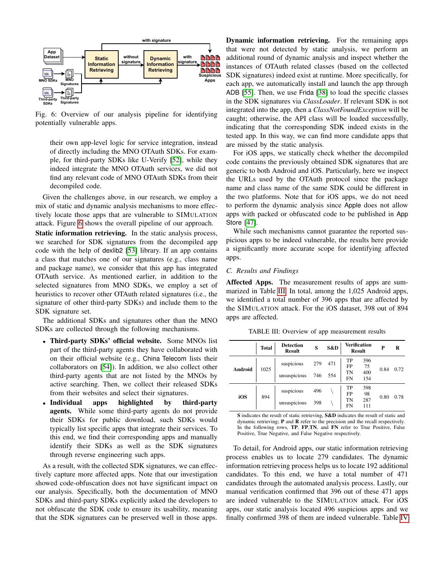<span id="page-7-0"></span>

Fig. 6: Overview of our analysis pipeline for identifying potentially vulnerable apps.

their own app-level logic for service integration, instead of directly including the MNO OTAuth SDKs. For example, for third-party SDKs like U-Verify [\[52\]](#page-12-1), while they indeed integrate the MNO OTAuth services, we did not find any relevant code of MNO OTAuth SDKs from their decompiled code.

Given the challenges above, in our research, we employ a mix of static and dynamic analysis mechanisms to more effectively locate those apps that are vulnerable to SIMULATION attack. Figure [6](#page-7-0) shows the overall pipeline of our approach.

Static information retrieving. In the static analysis process, we searched for SDK signatures from the decompiled app code with the help of dexlib2 [\[53\]](#page-12-2) library. If an app contains a class that matches one of our signatures (e.g., class name and package name), we consider that this app has integrated OTAuth service. As mentioned earlier, in addition to the selected signatures from MNO SDKs, we employ a set of heuristics to recover other OTAuth related signatures (i.e., the signature of other third-party SDKs) and include them to the SDK signature set.

The additional SDKs and signatures other than the MNO SDKs are collected through the following mechanisms.

- Third-party SDKs' official website. Some MNOs list part of the third-party agents they have collaborated with on their official website (e.g., China Telecom lists their collaborators on [\[54\]](#page-12-3)). In addition, we also collect other third-party agents that are not listed by the MNOs by active searching. Then, we collect their released SDKs from their websites and select their signatures.
- Individual apps highlighted by third-party agents. While some third-party agents do not provide their SDKs for public download, such SDKs would typically list specific apps that integrate their services. To this end, we find their corresponding apps and manually identify their SDKs as well as the SDK signatures through reverse engineering such apps.

As a result, with the collected SDK signatures, we can effectively capture more affected apps. Note that our investigation showed code-obfuscation does not have significant impact on our analysis. Specifically, both the documentation of MNO SDKs and third-party SDKs explicitly asked the developers to not obfuscate the SDK code to ensure its usability, meaning that the SDK signatures can be preserved well in those apps.

Dynamic information retrieving. For the remaining apps that were not detected by static analysis, we perform an additional round of dynamic analysis and inspect whether the instances of OTAuth related classes (based on the collected SDK signatures) indeed exist at runtime. More specifically, for each app, we automatically install and launch the app through ADB [\[55\]](#page-12-4). Then, we use Frida [\[38\]](#page-11-36) to load the specific classes in the SDK signatures via *ClassLoader*. If relevant SDK is not integrated into the app, then a *ClassNotFoundException* will be caught; otherwise, the API class will be loaded successfully, indicating that the corresponding SDK indeed exists in the tested app. In this way, we can find more candidate apps that are missed by the static analysis.

For iOS apps, we statically check whether the decompiled code contains the previously obtained SDK signatures that are generic to both Android and iOS. Particularly, here we inspect the URLs used by the OTAuth protocol since the package name and class name of the same SDK could be different in the two platforms. Note that for iOS apps, we do not need to perform the dynamic analysis since Apple does not allow apps with packed or obfuscated code to be published in App Store [\[47\]](#page-11-45).

While such mechanisms cannot guarantee the reported suspicious apps to be indeed vulnerable, the results here provide a significantly more accurate scope for identifying affected apps.

## *C. Results and Findings*

Affected Apps. The measurement results of apps are summarized in Table [III.](#page-7-1) In total, among the 1,025 Android apps, we identified a total number of 396 apps that are affected by the SIMULATION attack. For the iOS dataset, 398 out of 894 apps are affected.

|         | <b>Total</b> | <b>Detection</b><br><b>Result</b> | S          | S&D        |                      | <b>Verification</b><br><b>Result</b> | P    | R    |
|---------|--------------|-----------------------------------|------------|------------|----------------------|--------------------------------------|------|------|
| Android | 1025         | suspicious<br>unsuspicious        | 279<br>746 | 471<br>554 | TP<br>FP<br>TN<br>FN | 396<br>75<br>400<br>154              | 0.84 | 0.72 |
| iOS     | 894          | suspicious<br>unsuspicious        | 496<br>398 |            | TP<br>FP<br>TN<br>FN | 398<br>98<br>287<br>111              | 0.80 | 0.78 |

TABLE III: Overview of app measurement results

S indicates the result of static retrieving, S&D indicates the result of static and dynamic retrieving; P and R refer to the precision and the recall respectively. In the following rows, TP, FP,TN, and FN refer to True Positive, False Positive, True Negative, and False Negative respectively.

<span id="page-7-1"></span>To detail, for Android apps, our static information retrieving process enables us to locate 279 candidates. The dynamic information retrieving process helps us to locate 192 additional candidates. To this end, we have a total number of 471 candidates through the automated analysis process. Lastly, our manual verification confirmed that 396 out of these 471 apps are indeed vulnerable to the SIMULATION attack. For iOS apps, our static analysis located 496 suspicious apps and we finally confirmed 398 of them are indeed vulnerable. Table [IV](#page-8-0)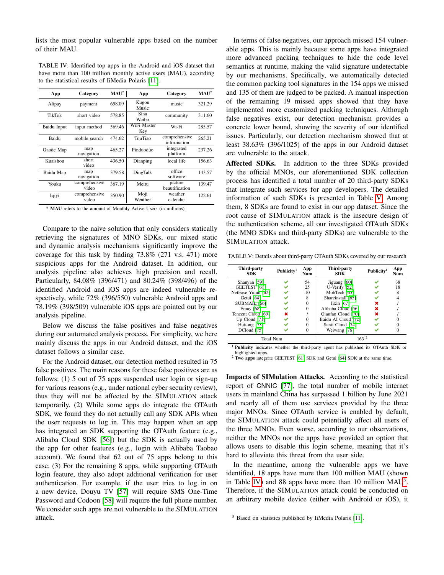lists the most popular vulnerable apps based on the number of their MAU.

TABLE IV: Identified top apps in the Android and iOS dataset that have more than 100 million monthly active users (MAU), according to the statistical results of IiMedia Polaris [\[11\]](#page-11-10).

| App           | Category               | $MAU^*$ | App                | Category                     | $MAU^*$ |
|---------------|------------------------|---------|--------------------|------------------------------|---------|
| Alipay        | payment                | 658.09  | Kugou<br>Music     | music                        | 321.29  |
| <b>TikTok</b> | short video            | 578.85  | Sina<br>Weibo      | community                    | 311.60  |
| Baidu Input   | input method           | 569.46  | WiFi Master<br>Key | Wi-Fi                        | 285.57  |
| Baidu         | mobile search          | 474.62  | TouTiao            | comprehensive<br>information | 265.21  |
| Gaode Map     | map<br>navigation      | 465.27  | Pinduoduo          | integrated<br>platform       | 237.26  |
| Kuaishou      | short<br>video         | 436.50  | Dianping           | local life                   | 156.63  |
| Baidu Map     | map<br>navigation      | 379.58  | DingTalk           | office<br>software           | 143.57  |
| Youku         | comprehensive<br>video | 367.19  | Meitu              | picture<br>beautification    | 139.47  |
| Iqiyi         | comprehensive<br>video | 350.90  | Moji<br>Weather    | weather<br>calendar          | 122.61  |

<span id="page-8-0"></span>\* MAU refers to the amount of Monthly Active Users (in millions).

Compare to the naive solution that only considers statically retrieving the signatures of MNO SDKs, our mixed static and dynamic analysis mechanisms significantly improve the coverage for this task by finding 73.8% (271 v.s. 471) more suspicious apps for the Android dataset. In addition, our analysis pipeline also achieves high precision and recall. Particularly, 84.08% (396/471) and 80.24% (398/496) of the identified Android and iOS apps are indeed vulnerable respectively, while 72% (396/550) vulnerable Android apps and 78.19% (398/509) vulnerable iOS apps are pointed out by our analysis pipeline.

Below we discuss the false positives and false negatives during our automated analysis process. For simplicity, we here mainly discuss the apps in our Android dataset, and the iOS dataset follows a similar case.

For the Android dataset, our detection method resulted in 75 false positives. The main reasons for these false positives are as follows: (1) 5 out of 75 apps suspended user login or sign-up for various reasons (e.g., under national cyber security review), thus they will not be affected by the SIMULATION attack temporarily. (2) While some apps do integrate the OTAuth SDK, we found they do not actually call any SDK APIs when the user requests to log in. This may happen when an app has integrated an SDK supporting the OTAuth feature (e.g., Alibaba Cloud SDK [\[56\]](#page-12-5)) but the SDK is actually used by the app for other features (e.g., login with Alibaba Taobao account). We found that 62 out of 75 apps belong to this case. (3) For the remaining 8 apps, while supporting OTAuth login feature, they also adopt additional verification for user authentication. For example, if the user tries to log in on a new device, Douyu TV [\[57\]](#page-12-6) will require SMS One-Time Password and Codoon [\[58\]](#page-12-7) will require the full phone number. We consider such apps are not vulnerable to the SIMULATION attack.

In terms of false negatives, our approach missed 154 vulnerable apps. This is mainly because some apps have integrated more advanced packing techniques to hide the code level semantics at runtime, making the valid signature undetectable by our mechanisms. Specifically, we automatically detected the common packing tool signatures in the 154 apps we missed and 135 of them are judged to be packed. A manual inspection of the remaining 19 missed apps showed that they have implemented more customized packing techniques. Although false negatives exist, our detection mechanism provides a concrete lower bound, showing the severity of our identified issues. Particularly, our detection mechanism showed that at least 38.63% (396/1025) of the apps in our Android dataset are vulnerable to the attack.

Affected SDKs. In addition to the three SDKs provided by the official MNOs, our aforementioned SDK collection process has identified a total number of 20 third-party SDKs that integrate such services for app developers. The detailed information of such SDKs is presented in Table [V.](#page-8-1) Among them, 8 SDKs are found to exist in our app dataset. Since the root cause of SIMULATION attack is the insecure design of the authentication scheme, all our investigated OTAuth SDKs (the MNO SDKs and third-party SDKs) are vulnerable to the SIMULATION attack.

TABLE V: Details about third-party OTAuth SDKs covered by our research

| Third-party<br><b>SDK</b> | Publicity <sup>1</sup> | App<br>Num | Third-party<br>SDK  | Publicity <sup>1</sup> | App<br>Num |
|---------------------------|------------------------|------------|---------------------|------------------------|------------|
| Shanyan [59]              |                        | 54         | Jiguang [60]        |                        | 38         |
| GEETEST [61]              |                        | 25         | U-Verify [52]       |                        | 18         |
| NetEase Yidun [62]        |                        | 10         | MobTech [63]        |                        | 8          |
| Getui [64]                |                        | 8          | Shareinstall [65]   |                        |            |
| SUBMAIL [66]              |                        |            | Jixin [67]          | ×                      |            |
| Emay [68]                 |                        | $\Omega$   | Alibaba Cloud [56]  | ×                      |            |
| Tencent Cloud [69]        | ×                      |            | Oianfan Cloud [70]  | ×                      |            |
| Up Cloud $[71]$           |                        | 0          | Baidu AI Cloud [72] |                        |            |
| Huitong [73]              |                        |            | Santi Cloud [74]    |                        |            |
| DCloud [75]               |                        |            | Weiwang [76]        |                        |            |
| Total Num                 |                        |            | 163 <sup>2</sup>    |                        |            |

<sup>1</sup> Publicity indicates whether the third-party agent has published its OTAuth SDK or highlighted apps.

<span id="page-8-1"></span><sup>2</sup> Two apps integrate GEETEST [\[61\]](#page-12-10) SDK and Getui [\[64\]](#page-12-13) SDK at the same time.

Impacts of SIMulation Attacks. According to the statistical report of CNNIC [\[77\]](#page-12-26), the total number of mobile internet users in mainland China has surpassed 1 billion by June 2021 and nearly all of them use services provided by the three major MNOs. Since OTAuth service is enabled by default, the SIMULATION attack could potentially affect all users of the three MNOs. Even worse, according to our observations, neither the MNOs nor the apps have provided an option that allows users to disable this login scheme, meaning that it's hard to alleviate this threat from the user side.

In the meantime, among the vulnerable apps we have identified, 18 apps have more than 100 million MAU (shown in Table [IV\)](#page-8-0) and 88 apps have more than 10 million  $MAU<sup>3</sup>$  $MAU<sup>3</sup>$  $MAU<sup>3</sup>$ . Therefore, if the SIMULATION attack could be conducted on an arbitrary mobile device (either with Android or iOS), it

<span id="page-8-2"></span><sup>&</sup>lt;sup>3</sup> Based on statistics published by IiMedia Polaris [\[11\]](#page-11-10).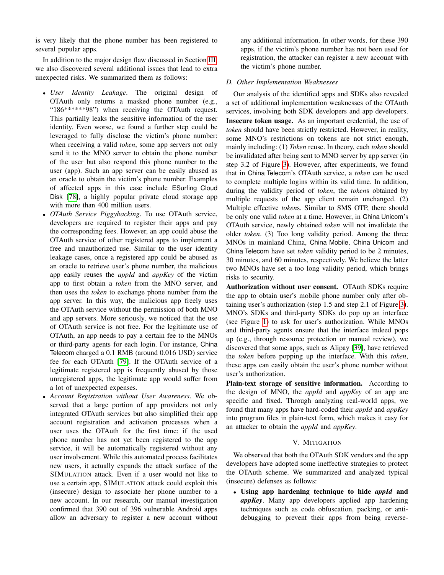is very likely that the phone number has been registered to several popular apps.

In addition to the major design flaw discussed in Section [III,](#page-4-0) we also discovered several additional issues that lead to extra unexpected risks. We summarized them as follows:

- *User Identity Leakage*. The original design of OTAuth only returns a masked phone number (e.g., "186\*\*\*\*\*\*98") when receiving the OTAuth request. This partially leaks the sensitive information of the user identity. Even worse, we found a further step could be leveraged to fully disclose the victim's phone number: when receiving a valid *token*, some app servers not only send it to the MNO server to obtain the phone number of the user but also respond this phone number to the user (app). Such an app server can be easily abused as an oracle to obtain the victim's phone number. Examples of affected apps in this case include ESurfing Cloud Disk [\[78\]](#page-12-27), a highly popular private cloud storage app with more than 400 million users.
- *OTAuth Service Piggybacking*. To use OTAuth service, developers are required to register their apps and pay the corresponding fees. However, an app could abuse the OTAuth service of other registered apps to implement a free and unauthorized use. Similar to the user identity leakage cases, once a registered app could be abused as an oracle to retrieve user's phone number, the malicious app easily reuses the *appId* and *appKey* of the victim app to first obtain a *token* from the MNO server, and then uses the *token* to exchange phone number from the app server. In this way, the malicious app freely uses the OTAuth service without the permission of both MNO and app servers. More seriously, we noticed that the use of OTAuth service is not free. For the legitimate use of OTAuth, an app needs to pay a certain fee to the MNOs or third-party agents for each login. For instance, China Telecom charged a 0.1 RMB (around 0.016 USD) service fee for each OTAuth [\[79\]](#page-12-28). If the OTAuth service of a legitimate registered app is frequently abused by those unregistered apps, the legitimate app would suffer from a lot of unexpected expenses.
- *Account Registration without User Awareness*. We observed that a large portion of app providers not only integrated OTAuth services but also simplified their app account registration and activation processes when a user uses the OTAuth for the first time: if the used phone number has not yet been registered to the app service, it will be automatically registered without any user involvement. While this automated process facilitates new users, it actually expands the attack surface of the SIMULATION attack. Even if a user would not like to use a certain app, SIMULATION attack could exploit this (insecure) design to associate her phone number to a new account. In our research, our manual investigation confirmed that 390 out of 396 vulnerable Android apps allow an adversary to register a new account without

any additional information. In other words, for these 390 apps, if the victim's phone number has not been used for registration, the attacker can register a new account with the victim's phone number.

## <span id="page-9-0"></span>*D. Other Implementation Weaknesses*

Our analysis of the identified apps and SDKs also revealed a set of additional implementation weaknesses of the OTAuth services, involving both SDK developers and app developers. Insecure token usage. As an important credential, the use of *token* should have been strictly restricted. However, in reality, some MNO's restrictions on tokens are not strict enough, mainly including: (1) *Token* reuse. In theory, each *token* should be invalidated after being sent to MNO server by app server (in step 3.2 of Figure [3\)](#page-2-1). However, after experiments, we found that in China Telecom's OTAuth service, a *token* can be used to complete multiple logins within its valid time. In addition, during the validity period of *token*, the *token*s obtained by multiple requests of the app client remain unchanged. (2) Multiple effective *token*s. Similar to SMS OTP, there should be only one valid *token* at a time. However, in China Unicom's OTAuth service, newly obtained *token* will not invalidate the older *token*. (3) Too long validity period. Among the three MNOs in mainland China, China Mobile, China Unicom and China Telecom have set *token* validity period to be 2 minutes, 30 minutes, and 60 minutes, respectively. We believe the latter two MNOs have set a too long validity period, which brings risks to security.

Authorization without user consent. OTAuth SDKs require the app to obtain user's mobile phone number only after obtaining user's authorization (step 1.5 and step 2.1 of Figure [3\)](#page-2-1). MNO's SDKs and third-party SDKs do pop up an interface (see Figure [1\)](#page-0-0) to ask for user's authorization. While MNOs and third-party agents ensure that the interface indeed pops up (e.g., through resource protection or manual review), we discovered that some apps, such as Alipay [\[39\]](#page-11-37), have retrieved the *token* before popping up the interface. With this *token*, these apps can easily obtain the user's phone number without user's authorization.

Plain-text storage of sensitive information. According to the design of MNO, the *appId* and *appKey* of an app are specific and fixed. Through analyzing real-world apps, we found that many apps have hard-coded their *appId* and *appKey* into program files in plain-text form, which makes it easy for an attacker to obtain the *appId* and *appKey*.

# V. MITIGATION

We observed that both the OTAuth SDK vendors and the app developers have adopted some ineffective strategies to protect the OTAuth scheme. We summarized and analyzed typical (insecure) defenses as follows:

• Using app hardening technique to hide *appId* and *appKey*. Many app developers applied app hardening techniques such as code obfuscation, packing, or antidebugging to prevent their apps from being reverse-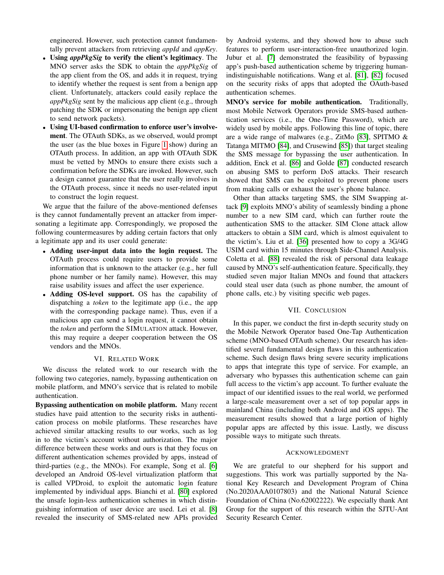engineered. However, such protection cannot fundamentally prevent attackers from retrieving *appId* and *appKey*.

- Using *appPkgSig* to verify the client's legitimacy. The MNO server asks the SDK to obtain the *appPkgSig* of the app client from the OS, and adds it in request, trying to identify whether the request is sent from a benign app client. Unfortunately, attackers could easily replace the *appPkgSig* sent by the malicious app client (e.g., through patching the SDK or impersonating the benign app client to send network packets).
- Using UI-based confirmation to enforce user's involvement. The OTAuth SDKs, as we observed, would prompt the user (as the blue boxes in Figure [1](#page-0-0) show) during an OTAuth process. In addition, an app with OTAuth SDK must be vetted by MNOs to ensure there exists such a confirmation before the SDKs are invoked. However, such a design cannot guarantee that the user really involves in the OTAuth process, since it needs no user-related input to construct the login request.

We argue that the failure of the above-mentioned defenses is they cannot fundamentally prevent an attacker from impersonating a legitimate app. Correspondingly, we proposed the following countermeasures by adding certain factors that only a legitimate app and its user could generate:

- Adding user-input data into the login request. The OTAuth process could require users to provide some information that is unknown to the attacker (e.g., her full phone number or her family name). However, this may raise usability issues and affect the user experience.
- Adding OS-level support. OS has the capability of dispatching a *token* to the legitimate app (i.e., the app with the corresponding package name). Thus, even if a malicious app can send a login request, it cannot obtain the *token* and perform the SIMULATION attack. However, this may require a deeper cooperation between the OS vendors and the MNOs.

# VI. RELATED WORK

We discuss the related work to our research with the following two categories, namely, bypassing authentication on mobile platform, and MNO's service that is related to mobile authentication.

Bypassing authentication on mobile platform. Many recent studies have paid attention to the security risks in authentication process on mobile platforms. These researches have achieved similar attacking results to our works, such as log in to the victim's account without authorization. The major difference between these works and ours is that they focus on different authentication schemes provided by apps, instead of third-parties (e.g., the MNOs). For example, Song et al. [\[6\]](#page-11-5) developed an Android OS-level virtualization platform that is called VPDroid, to exploit the automatic login feature implemented by individual apps. Bianchi et al. [\[80\]](#page-12-29) explored the unsafe login-less authentication schemes in which distinguishing information of user device are used. Lei et al. [\[8\]](#page-11-7) revealed the insecurity of SMS-related new APIs provided

by Android systems, and they showed how to abuse such features to perform user-interaction-free unauthorized login. Jubur et al. [\[7\]](#page-11-6) demonstrated the feasibility of bypassing app's push-based authentication scheme by triggering humanindistinguishable notifications. Wang et al. [\[81\]](#page-12-30), [\[82\]](#page-12-31) focused on the security risks of apps that adopted the OAuth-based authentication schemes.

MNO's service for mobile authentication. Traditionally, most Mobile Network Operators provide SMS-based authentication services (i.e., the One-Time Password), which are widely used by mobile apps. Following this line of topic, there are a wide range of malwares (e.g., ZitMo [\[83\]](#page-12-32), SPITMO & Tatanga MITMO [\[84\]](#page-12-33), and Crusewind [\[85\]](#page-12-34)) that target stealing the SMS message for bypassing the user authentication. In addition, Enck et al. [\[86\]](#page-12-35) and Golde [\[87\]](#page-12-36) conducted research on abusing SMS to perform DoS attacks. Their research showed that SMS can be exploited to prevent phone users from making calls or exhaust the user's phone balance.

Other than attacks targeting SMS, the SIM Swapping attack [\[9\]](#page-11-8) exploits MNO's ability of seamlessly binding a phone number to a new SIM card, which can further route the authentication SMS to the attacker. SIM Clone attack allow attackers to obtain a SIM card, which is almost equivalent to the victim's. Liu et al. [\[36\]](#page-11-34) presented how to copy a 3G/4G USIM card within 15 minutes through Side-Channel Analysis. Coletta et al. [\[88\]](#page-12-37) revealed the risk of personal data leakage caused by MNO's self-authentication feature. Specifically, they studied seven major Italian MNOs and found that attackers could steal user data (such as phone number, the amount of phone calls, etc.) by visiting specific web pages.

## VII. CONCLUSION

In this paper, we conduct the first in-depth security study on the Mobile Network Operator based One-Tap Authentication scheme (MNO-based OTAuth scheme). Our research has identified several fundamental design flaws in this authentication scheme. Such design flaws bring severe security implications to apps that integrate this type of service. For example, an adversary who bypasses this authentication scheme can gain full access to the victim's app account. To further evaluate the impact of our identified issues to the real world, we performed a large-scale measurement over a set of top popular apps in mainland China (including both Android and iOS apps). The measurement results showed that a large portion of highly popular apps are affected by this issue. Lastly, we discuss possible ways to mitigate such threats.

#### ACKNOWLEDGMENT

We are grateful to our shepherd for his support and suggestions. This work was partially supported by the National Key Research and Development Program of China (No.2020AAA0107803) and the National Natural Science Foundation of China (No.62002222). We especially thank Ant Group for the support of this research within the SJTU-Ant Security Research Center.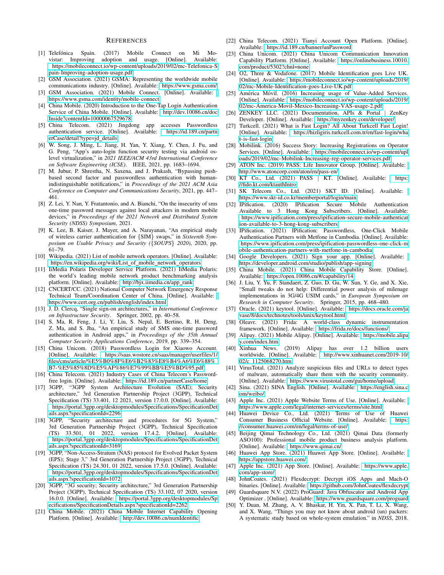## **REFERENCES**

- <span id="page-11-0"></span>[1] Telefónica Spain. (2017) Mobile Connect on Mi Movistar: Improving adoption and usage. [Online]. Available: [https://mobileconnect.io/wp-content/uploads/2019/02/mc-Telefonica-S](https://mobileconnect.io/wp-content/uploads/2019/02/mc-Telefonica-Spain-Improving-adoption-usage.pdf) [pain-Improving-adoption-usage.pdf](https://mobileconnect.io/wp-content/uploads/2019/02/mc-Telefonica-Spain-Improving-adoption-usage.pdf)
- <span id="page-11-1"></span>[2] GSM Association. (2021) GSMA: Representing the worldwide mobile communications industry. [Online]. Available:<https://www.gsma.com/>
- <span id="page-11-2"></span>[3] GSM Association. (2021) Mobile Connect. [Online]. Available: <https://www.gsma.com/identity/mobile-connect>
- <span id="page-11-3"></span>[4] China Mobile. (2020) Introduction to the One-Tap Login Authentication Service of China Mobile. [Online]. Available: [http://dev.10086.cn/doc](http://dev.10086.cn/docInside?contentId=10000067529678) [Inside?contentId=10000067529678](http://dev.10086.cn/docInside?contentId=10000067529678)
- <span id="page-11-4"></span>[5] China Telecom. (2021) Jingdong app accesses Passwordless authentication service. [Online]. Available: [https://id.189.cn/partn](https://id.189.cn/partnerCase/detail?type=jd_details) [erCase/detail?type=jd](https://id.189.cn/partnerCase/detail?type=jd_details)\_details
- <span id="page-11-5"></span>[6] W. Song, J. Ming, L. Jiang, H. Yan, Y. Xiang, Y. Chen, J. Fu, and G. Peng, "App's auto-login function security testing via android oslevel virtualization," in *2021 IEEE/ACM 43rd International Conference on Software Engineering (ICSE)*. IEEE, 2021, pp. 1683–1694.
- <span id="page-11-6"></span>[7] M. Jubur, P. Shrestha, N. Saxena, and J. Prakash, "Bypassing pushbased second factor and passwordless authentication with humanindistinguishable notifications," in *Proceedings of the 2021 ACM Asia Conference on Computer and Communications Security*, 2021, pp. 447– 461.
- <span id="page-11-7"></span>[8] Z. Lei, Y. Nan, Y. Fratantonio, and A. Bianchi, "On the insecurity of sms one-time password messages against local attackers in modern mobile devices," in *Proceedings of the 2021 Network and Distributed System Security (NDSS) Symposium*, 2021.
- <span id="page-11-8"></span>[9] K. Lee, B. Kaiser, J. Mayer, and A. Narayanan, "An empirical study of wireless carrier authentication for {SIM} swaps," in *Sixteenth Symposium on Usable Privacy and Security (*{*SOUPS*} *2020)*, 2020, pp. 61–79.
- <span id="page-11-9"></span>[10] Wikipedia. (2021) List of mobile network operators. [Online]. Available: [https://en.wikipedia.org/wiki/List](https://en.wikipedia.org/wiki/List_of_mobile_network_operators) of mobile network operators
- <span id="page-11-10"></span>[11] IiMedia Polaris Developer Service Platform. (2021) IiMedia Polaris: the world's leading mobile network product benchmarking analysis platform. [Online]. Available: [http://bjx.iimedia.cn/app](http://bjx.iimedia.cn/app_rank)\_rank
- <span id="page-11-13"></span>[12] CNCERT/CC. (2021) National Computer Network Emergency Response Technical Team/Coordination Center of China. [Online]. Available: <https://www.cert.org.cn/publish/english/index.html>
- <span id="page-11-11"></span>[13] J. D. Clercq, "Single sign-on architectures," in *International Conference on Infrastructure Security*. Springer, 2002, pp. 40–58.
- <span id="page-11-12"></span>[14] S. Ma, R. Feng, J. Li, Y. Liu, S. Nepal, E. Bertino, R. H. Deng, Z. Ma, and S. Jha, "An empirical study of SMS one-time password authentication in Android apps," in *Proceedings of the 35th Annual Computer Security Applications Conference*, 2019, pp. 339–354.
- <span id="page-11-14"></span>[15] China Unicom. (2018) Passwordless Login for Xiaowo Account. [Online]. Available: [https://saas.wostore.cn/saas/manager/userfiles/1/](https://saas.wostore.cn/saas/manager/userfiles/1/files/cms/article/%E5%B0%8F%E6%B2%83%E8%B4%A6%E6%88%B7-%E5%85%8D%E5%AF%86%E7%99%BB%E5%BD%95.pdf) [files/cms/article/%E5%B0%8F%E6%B2%83%E8%B4%A6%E6%88%](https://saas.wostore.cn/saas/manager/userfiles/1/files/cms/article/%E5%B0%8F%E6%B2%83%E8%B4%A6%E6%88%B7-%E5%85%8D%E5%AF%86%E7%99%BB%E5%BD%95.pdf) [B7-%E5%85%8D%E5%AF%86%E7%99%BB%E5%BD%95.pdf](https://saas.wostore.cn/saas/manager/userfiles/1/files/cms/article/%E5%B0%8F%E6%B2%83%E8%B4%A6%E6%88%B7-%E5%85%8D%E5%AF%86%E7%99%BB%E5%BD%95.pdf)
- <span id="page-11-15"></span>[16] China Telecom. (2021) Industry Cases of China Telecom's Passwordfree login. [Online]. Available:<https://id.189.cn/partnerCase/home>
- <span id="page-11-16"></span>[17] 3GPP, "3GPP System Architecture Evolution (SAE); Security architecture," 3rd Generation Partnership Project (3GPP), Technical Specification (TS) 33.401, 12 2021, version 17.0.0. [Online]. Available: [https://portal.3gpp.org/desktopmodules/Specifications/SpecificationDet](https://portal.3gpp.org/desktopmodules/Specifications/SpecificationDetails.aspx?specificationId=2296) [ails.aspx?specificationId=2296](https://portal.3gpp.org/desktopmodules/Specifications/SpecificationDetails.aspx?specificationId=2296)
- [18] 3GPP, "Security architecture and procedures for 5G System," 3rd Generation Partnership Project (3GPP), Technical Specification (TS) 33.501, 01 2022, version 17.4.2. [Online]. Available: [https://portal.3gpp.org/desktopmodules/Specifications/SpecificationDet](https://portal.3gpp.org/desktopmodules/Specifications/SpecificationDetails.aspx?specificationId=3169) [ails.aspx?specificationId=3169](https://portal.3gpp.org/desktopmodules/Specifications/SpecificationDetails.aspx?specificationId=3169)
- <span id="page-11-17"></span>[19] 3GPP, "Non-Access-Stratum (NAS) protocol for Evolved Packet System (EPS); Stage 3," 3rd Generation Partnership Project (3GPP), Technical Specification (TS) 24.301, 01 2022, version 17.5.0. [Online]. Available: [https://portal.3gpp.org/desktopmodules/Specifications/SpecificationDet](https://portal.3gpp.org/desktopmodules/Specifications/SpecificationDetails.aspx?specificationId=1072) [ails.aspx?specificationId=1072](https://portal.3gpp.org/desktopmodules/Specifications/SpecificationDetails.aspx?specificationId=1072)
- <span id="page-11-18"></span>[20] 3GPP, "3G security; Security architecture," 3rd Generation Partnership Project (3GPP), Technical Specification (TS) 33.102, 07 2020, version 16.0.0. [Online]. Available: [https://portal.3gpp.org/desktopmodules/Sp](https://portal.3gpp.org/desktopmodules/Specifications/SpecificationDetails.aspx?specificationId=2262) [ecifications/SpecificationDetails.aspx?specificationId=2262](https://portal.3gpp.org/desktopmodules/Specifications/SpecificationDetails.aspx?specificationId=2262)
- <span id="page-11-19"></span>[21] China Mobile. (2021) China Mobile Internet Capability Opening Platform. [Online]. Available:<http://dev.10086.cn/numIdentific>
- <span id="page-11-20"></span>[22] China Telecom. (2021) Tianyi Account Open Platform. [Online]. Available:<https://id.189.cn/banner/unPassword>
- <span id="page-11-21"></span>[23] China Unicom. (2021) China Unicom Communication Innovation Capability Platform. [Online]. Available: [https://onlinebusiness.10010.](https://onlinebusiness.10010.com/product/5302?chnl=none) [com/product/5302?chnl=none](https://onlinebusiness.10010.com/product/5302?chnl=none)
- <span id="page-11-22"></span>[24] O2, Three & Vodafone. (2017) Mobile Identification goes Live UK. [Online]. Available: [https://mobileconnect.io/wp-content/uploads/2019/](https://mobileconnect.io/wp-content/uploads/2019/02/mc-Mobile-Identification-goes-Live-UK.pdf) [02/mc-Mobile-Identification-goes-Live-UK.pdf](https://mobileconnect.io/wp-content/uploads/2019/02/mc-Mobile-Identification-goes-Live-UK.pdf)
- <span id="page-11-23"></span>[25] América Móvil. (2016) Increasing usage of Value-Added Services. [Online]. Available: [https://mobileconnect.io/wp-content/uploads/2019/](https://mobileconnect.io/wp-content/uploads/2019/02/mc-America-Movil-Mexico-Increasing-VAS-usage-2.pdf) [02/mc-America-Movil-Mexico-Increasing-VAS-usage-2.pdf](https://mobileconnect.io/wp-content/uploads/2019/02/mc-America-Movil-Mexico-Increasing-VAS-usage-2.pdf)
- <span id="page-11-24"></span>[26] ZENKEY LLC. (2021) Documentation, APIs & Portal | ZenKey Developer. [Online]. Available:<https://myzenkey.com/developer/>
- <span id="page-11-25"></span>[27] Turkcell. (2021) What is Fast Login? All About Turkcell Fast Login! [Online]. Available: [https://hizligiris.turkcell.com.tr/en/fast-login/wha](https://hizligiris.turkcell.com.tr/en/fast-login/what-is-fast-login) [t-is-fast-login](https://hizligiris.turkcell.com.tr/en/fast-login/what-is-fast-login)
- <span id="page-11-26"></span>[28] Mobilink. (2016) Success Story: Increasing Registrations on Operator Services. [Online]. Available: [https://mobileconnect.io/wp-content/upl](https://mobileconnect.io/wp-content/uploads/2019/02/mc-Mobilink-Increasing-reg-operator-services.pdf) [oads/2019/02/mc-Mobilink-Increasing-reg-operator-services.pdf](https://mobileconnect.io/wp-content/uploads/2019/02/mc-Mobilink-Increasing-reg-operator-services.pdf)
- <span id="page-11-27"></span>[29] ATON Inc. (2019) PASS: Life Innovator Group. [Online]. Available: <http://www.atoncorp.com/aton/en/pass-en/>
- <span id="page-11-28"></span>[30] KT Co., Ltd. (2021) PASS | KT. [Online]. Available: [https:](https://fido.kt.com/ktauthIntro) [//fido.kt.com/ktauthIntro](https://fido.kt.com/ktauthIntro)
- <span id="page-11-29"></span>[31] SK Telecom Co., Ltd. (2021) SKT ID. [Online]. Available: <https://www.skt-id.co.kr/memberportal/login/main>
- <span id="page-11-30"></span>[32] IPification. (2020) IPification Secure Mobile Authentication Available to 3 Hong Kong Subscribers. [Online]. Available: [https://www.ipification.com/press/ipification-secure-mobile-authenticat](https://www.ipification.com/press/ipification-secure-mobile-authentication-available-to-3-hong-kong-subscribers) [ion-available-to-3-hong-kong-subscribers](https://www.ipification.com/press/ipification-secure-mobile-authentication-available-to-3-hong-kong-subscribers)
- <span id="page-11-31"></span>[33] IPification. (2021) IPification: Passwordless, One-Click Mobile Authentication Partners with Metfone in Cambodia. [Online]. Available: [https://www.ipification.com/press/ipification-passwordless-one-click-m](https://www.ipification.com/press/ipification-passwordless-one-click-mobile-authentication-partners-with-metfone-in-cambodia) [obile-authentication-partners-with-metfone-in-cambodia](https://www.ipification.com/press/ipification-passwordless-one-click-mobile-authentication-partners-with-metfone-in-cambodia)
- <span id="page-11-32"></span>[34] Google Developers. (2021) Sign your app. [Online]. Available: <https://developer.android.com/studio/publish/app-signing>
- <span id="page-11-33"></span>[35] China Mobile. (2021) China Mobile Capability Store. [Online]. Available:<https://open.10086.cn/#/capability/14>
- <span id="page-11-34"></span>[36] J. Liu, Y. Yu, F. Standaert, Z. Guo, D. Gu, W. Sun, Y. Ge, and X. Xie, "Small tweaks do not help: Differential power analysis of milenage implementations in 3G/4G USIM cards," in *European Symposium on Research in Computer Security*. Springer, 2015, pp. 468–480.
- <span id="page-11-35"></span>[37] Oracle. (2021) keytool. [Online]. Available: [https://docs.oracle.com/ja](https://docs.oracle.com/javase/8/docs/technotes/tools/unix/keytool.html) [vase/8/docs/technotes/tools/unix/keytool.html](https://docs.oracle.com/javase/8/docs/technotes/tools/unix/keytool.html)
- <span id="page-11-36"></span>[38] Oleavr. (2021) Frida: A world-class dynamic instrumentation framework. [Online]. Available:<https://frida.re/docs/functions/>
- <span id="page-11-37"></span>[39] Alipay. (2021) Mobile Alipay. [Online]. Available: [https://mobile.alipa](https://mobile.alipay.com/index.htm) [y.com/index.htm](https://mobile.alipay.com/index.htm)
- <span id="page-11-38"></span>[40] Xinhua News. (2019) Alipay has over 1.2 billion users worldwide. [Online]. Available: [http://www.xinhuanet.com/2019-10/](http://www.xinhuanet.com/2019-10/02/c_1125068270.htm) 02/c\_[1125068270.htm](http://www.xinhuanet.com/2019-10/02/c_1125068270.htm)
- <span id="page-11-39"></span>[41] VirusTotal. (2021) Analyze suspicious files and URLs to detect types of malware, automatically share them with the security community. [Online]. Available:<https://www.virustotal.com/gui/home/upload>
- <span id="page-11-40"></span>[42] Sina. (2021) SINA English. [Online]. Available: [https://english.sina.c](https://english.sina.com/weibo/) [om/weibo/](https://english.sina.com/weibo/)
- <span id="page-11-41"></span>[43] Apple Inc. (2021) Apple Website Terms of Use. [Online]. Available: <https://www.apple.com/legal/internet-services/terms/site.html>
- <span id="page-11-42"></span>[44] Huawei Device Co., Ltd. (2021) Terms of Use of Huawei Consumer Business Official Website. [Online]. Available: [https:](https://consumer.huawei.com/en/legal/terms-of-use/) [//consumer.huawei.com/en/legal/terms-of-use/](https://consumer.huawei.com/en/legal/terms-of-use/)
- <span id="page-11-43"></span>[45] Beijing Qimai Technology Co., Ltd. (2021) Qimai Data (formerly ASO100): Professional mobile product business analysis platform. [Online]. Available:<https://www.qimai.cn/>
- <span id="page-11-44"></span>[46] Huawei App Store. (2021) Huawei App Store. [Online]. Available: <https://appstore.huawei.com/>
- <span id="page-11-45"></span>[47] Apple Inc. (2021) App Store. [Online]. Available: [https://www.apple.](https://www.apple.com/app-store/) [com/app-store/](https://www.apple.com/app-store/)
- <span id="page-11-46"></span>[48] JohnCoates. (2021) Flexdecrypt: Decrypt iOS Apps and Mach-O binaries. [Online]. Available:<https://github.com/JohnCoates/flexdecrypt>
- <span id="page-11-47"></span>[49] Guardsquare N.V. (2022) ProGuard: Java Obfuscator and Android App Optimizer . [Online]. Available:<https://www.guardsquare.com/proguard>
- <span id="page-11-48"></span>[50] Y. Duan, M. Zhang, A. V. Bhaskar, H. Yin, X. Pan, T. Li, X. Wang, and X. Wang, "Things you may not know about android (un) packers: A systematic study based on whole-system emulation." in *NDSS*, 2018.